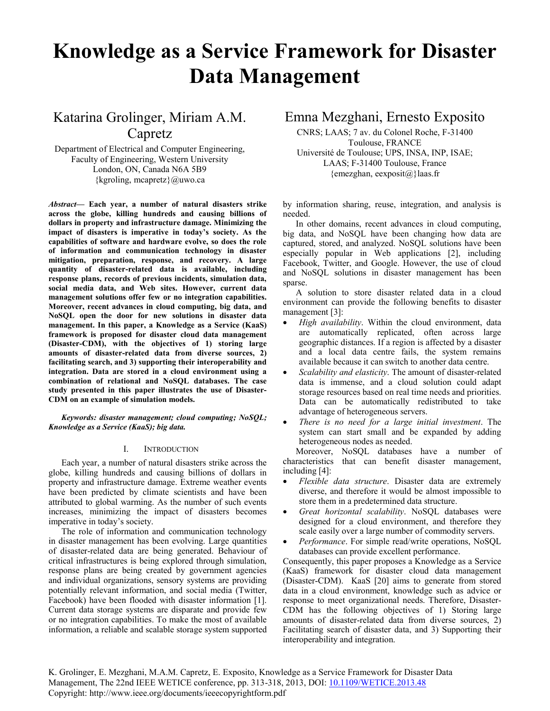# **Knowledge as a Service Framework for Disaster Data Management**

# Katarina Grolinger, Miriam A.M. Capretz

Department of Electrical and Computer Engineering, Faculty of Engineering, Western University London, ON, Canada N6A 5B9 {kgroling, mcapretz}@uwo.ca

*Abstract***— Each year, a number of natural disasters strike across the globe, killing hundreds and causing billions of dollars in property and infrastructure damage. Minimizing the impact of disasters is imperative in today's society. As the capabilities of software and hardware evolve, so does the role of information and communication technology in disaster mitigation, preparation, response, and recovery. A large quantity of disaster-related data is available, including response plans, records of previous incidents, simulation data, social media data, and Web sites. However, current data management solutions offer few or no integration capabilities. Moreover, recent advances in cloud computing, big data, and NoSQL open the door for new solutions in disaster data management. In this paper, a Knowledge as a Service (KaaS) framework is proposed for disaster cloud data management (Disaster-CDM), with the objectives of 1) storing large amounts of disaster-related data from diverse sources, 2) facilitating search, and 3) supporting their interoperability and integration. Data are stored in a cloud environment using a combination of relational and NoSQL databases. The case study presented in this paper illustrates the use of Disaster-CDM on an example of simulation models.** 

*Keywords: disaster management; cloud computing; NoSQL; Knowledge as a Service (KaaS); big data.*

# I. INTRODUCTION

Each year, a number of natural disasters strike across the globe, killing hundreds and causing billions of dollars in property and infrastructure damage. Extreme weather events have been predicted by climate scientists and have been attributed to global warming. As the number of such events increases, minimizing the impact of disasters becomes imperative in today's society.

The role of information and communication technology in disaster management has been evolving. Large quantities of disaster-related data are being generated. Behaviour of critical infrastructures is being explored through simulation, response plans are being created by government agencies and individual organizations, sensory systems are providing potentially relevant information, and social media (Twitter, Facebook) have been flooded with disaster information [1]. Current data storage systems are disparate and provide few or no integration capabilities. To make the most of available information, a reliable and scalable storage system supported

# Emna Mezghani, Ernesto Exposito

CNRS; LAAS; 7 av. du Colonel Roche, F-31400 Toulouse, FRANCE Université de Toulouse; UPS, INSA, INP, ISAE; LAAS; F-31400 Toulouse, France {emezghan, eexposit@}laas.fr

by information sharing, reuse, integration, and analysis is needed.

In other domains, recent advances in cloud computing, big data, and NoSQL have been changing how data are captured, stored, and analyzed. NoSQL solutions have been especially popular in Web applications [2], including Facebook, Twitter, and Google. However, the use of cloud and NoSQL solutions in disaster management has been sparse.

A solution to store disaster related data in a cloud environment can provide the following benefits to disaster management [3]:

- *High availability*. Within the cloud environment, data are automatically replicated, often across large geographic distances. If a region is affected by a disaster and a local data centre fails, the system remains available because it can switch to another data centre.
- *Scalability and elasticity*. The amount of disaster-related data is immense, and a cloud solution could adapt storage resources based on real time needs and priorities. Data can be automatically redistributed to take advantage of heterogeneous servers.
- *There is no need for a large initial investment*. The system can start small and be expanded by adding heterogeneous nodes as needed.

Moreover, NoSQL databases have a number of characteristics that can benefit disaster management, including [4]:

- *Flexible data structure*. Disaster data are extremely diverse, and therefore it would be almost impossible to store them in a predetermined data structure.
- *Great horizontal scalability*. NoSQL databases were designed for a cloud environment, and therefore they scale easily over a large number of commodity servers.
- *Performance*. For simple read/write operations, NoSQL databases can provide excellent performance.

Consequently, this paper proposes a Knowledge as a Service (KaaS) framework for disaster cloud data management (Disaster-CDM). KaaS [20] aims to generate from stored data in a cloud environment, knowledge such as advice or response to meet organizational needs. Therefore, Disaster-CDM has the following objectives of 1) Storing large amounts of disaster-related data from diverse sources, 2) Facilitating search of disaster data, and 3) Supporting their interoperability and integration.

K. Grolinger, E. Mezghani, M.A.M. Capretz, E. Exposito, Knowledge as a Service Framework for Disaster Data Management, The 22nd IEEE WETICE conference, pp. 313-318, 2013, DOI: 10.1109/WETICE.2013.48 Copyright: http://www.ieee.org/documents/ieeecopyrightform.pdf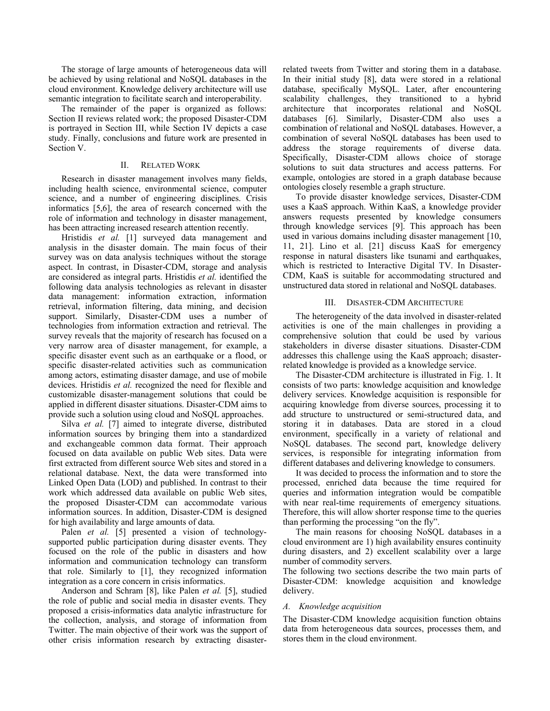The storage of large amounts of heterogeneous data will be achieved by using relational and NoSQL databases in the cloud environment. Knowledge delivery architecture will use semantic integration to facilitate search and interoperability.

The remainder of the paper is organized as follows: Section II reviews related work; the proposed Disaster-CDM is portrayed in Section III, while Section IV depicts a case study. Finally, conclusions and future work are presented in Section V.

#### II. RELATED WORK

Research in disaster management involves many fields, including health science, environmental science, computer science, and a number of engineering disciplines. Crisis informatics [5,6], the area of research concerned with the role of information and technology in disaster management, has been attracting increased research attention recently.

Hristidis *et al.* [1] surveyed data management and analysis in the disaster domain. The main focus of their survey was on data analysis techniques without the storage aspect. In contrast, in Disaster-CDM, storage and analysis are considered as integral parts. Hristidis *et al.* identified the following data analysis technologies as relevant in disaster data management: information extraction, information retrieval, information filtering, data mining, and decision support. Similarly, Disaster-CDM uses a number of technologies from information extraction and retrieval. The survey reveals that the majority of research has focused on a very narrow area of disaster management, for example, a specific disaster event such as an earthquake or a flood, or specific disaster-related activities such as communication among actors, estimating disaster damage, and use of mobile devices. Hristidis *et al.* recognized the need for flexible and customizable disaster-management solutions that could be applied in different disaster situations. Disaster-CDM aims to provide such a solution using cloud and NoSQL approaches.

Silva *et al.* [7] aimed to integrate diverse, distributed information sources by bringing them into a standardized and exchangeable common data format. Their approach focused on data available on public Web sites. Data were first extracted from different source Web sites and stored in a relational database. Next, the data were transformed into Linked Open Data (LOD) and published. In contrast to their work which addressed data available on public Web sites, the proposed Disaster-CDM can accommodate various information sources. In addition, Disaster-CDM is designed for high availability and large amounts of data.

Palen *et al.* [5] presented a vision of technologysupported public participation during disaster events. They focused on the role of the public in disasters and how information and communication technology can transform that role. Similarly to [1], they recognized information integration as a core concern in crisis informatics.

Anderson and Schram [8], like Palen *et al.* [5], studied the role of public and social media in disaster events. They proposed a crisis-informatics data analytic infrastructure for the collection, analysis, and storage of information from Twitter. The main objective of their work was the support of other crisis information research by extracting disasterrelated tweets from Twitter and storing them in a database. In their initial study [8], data were stored in a relational database, specifically MySQL. Later, after encountering scalability challenges, they transitioned to a hybrid architecture that incorporates relational and NoSQL databases [6]. Similarly, Disaster-CDM also uses a combination of relational and NoSQL databases. However, a combination of several NoSQL databases has been used to address the storage requirements of diverse data. Specifically, Disaster-CDM allows choice of storage solutions to suit data structures and access patterns. For example, ontologies are stored in a graph database because ontologies closely resemble a graph structure.

To provide disaster knowledge services, Disaster-CDM uses a KaaS approach. Within KaaS, a knowledge provider answers requests presented by knowledge consumers through knowledge services [9]. This approach has been used in various domains including disaster management [10, 11, 21]. Lino et al. [21] discuss KaaS for emergency response in natural disasters like tsunami and earthquakes, which is restricted to Interactive Digital TV. In Disaster-CDM, KaaS is suitable for accommodating structured and unstructured data stored in relational and NoSQL databases.

# III. DISASTER-CDM ARCHITECTURE

The heterogeneity of the data involved in disaster-related activities is one of the main challenges in providing a comprehensive solution that could be used by various stakeholders in diverse disaster situations. Disaster-CDM addresses this challenge using the KaaS approach; disasterrelated knowledge is provided as a knowledge service.

The Disaster-CDM architecture is illustrated in Fig. 1. It consists of two parts: knowledge acquisition and knowledge delivery services. Knowledge acquisition is responsible for acquiring knowledge from diverse sources, processing it to add structure to unstructured or semi-structured data, and storing it in databases. Data are stored in a cloud environment, specifically in a variety of relational and NoSQL databases. The second part, knowledge delivery services, is responsible for integrating information from different databases and delivering knowledge to consumers.

It was decided to process the information and to store the processed, enriched data because the time required for queries and information integration would be compatible with near real-time requirements of emergency situations. Therefore, this will allow shorter response time to the queries than performing the processing "on the fly".

The main reasons for choosing NoSQL databases in a cloud environment are 1) high availability ensures continuity during disasters, and 2) excellent scalability over a large number of commodity servers.

The following two sections describe the two main parts of Disaster-CDM: knowledge acquisition and knowledge delivery.

# *A. Knowledge acquisition*

The Disaster-CDM knowledge acquisition function obtains data from heterogeneous data sources, processes them, and stores them in the cloud environment.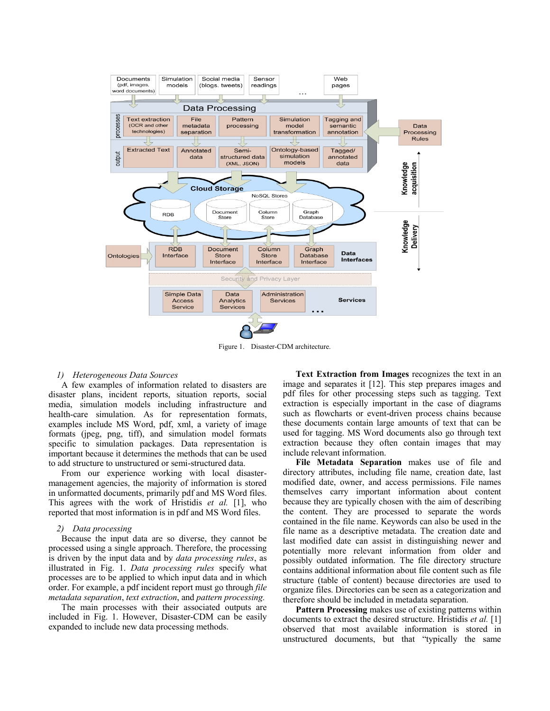

Figure 1. Disaster-CDM architecture.

#### *1) Heterogeneous Data Sources*

A few examples of information related to disasters are disaster plans, incident reports, situation reports, social media, simulation models including infrastructure and health-care simulation. As for representation formats, examples include MS Word, pdf, xml, a variety of image formats (jpeg, png, tiff), and simulation model formats specific to simulation packages. Data representation is important because it determines the methods that can be used to add structure to unstructured or semi-structured data.

From our experience working with local disastermanagement agencies, the majority of information is stored in unformatted documents, primarily pdf and MS Word files. This agrees with the work of Hristidis *et al.* [1], who reported that most information is in pdf and MS Word files.

#### *2) Data processing*

Because the input data are so diverse, they cannot be processed using a single approach. Therefore, the processing is driven by the input data and by *data processing rules*, as illustrated in Fig. 1. *Data processing rules* specify what processes are to be applied to which input data and in which order. For example, a pdf incident report must go through *file metadata separation*, *text extraction*, and *pattern processing.*

The main processes with their associated outputs are included in Fig. 1. However, Disaster-CDM can be easily expanded to include new data processing methods.

**Text Extraction from Images** recognizes the text in an image and separates it [12]. This step prepares images and pdf files for other processing steps such as tagging. Text extraction is especially important in the case of diagrams such as flowcharts or event-driven process chains because these documents contain large amounts of text that can be used for tagging. MS Word documents also go through text extraction because they often contain images that may include relevant information.

**File Metadata Separation** makes use of file and directory attributes, including file name, creation date, last modified date, owner, and access permissions. File names themselves carry important information about content because they are typically chosen with the aim of describing the content. They are processed to separate the words contained in the file name. Keywords can also be used in the file name as a descriptive metadata. The creation date and last modified date can assist in distinguishing newer and potentially more relevant information from older and possibly outdated information. The file directory structure contains additional information about file content such as file structure (table of content) because directories are used to organize files. Directories can be seen as a categorization and therefore should be included in metadata separation.

**Pattern Processing** makes use of existing patterns within documents to extract the desired structure. Hristidis *et al.* [1] observed that most available information is stored in unstructured documents, but that "typically the same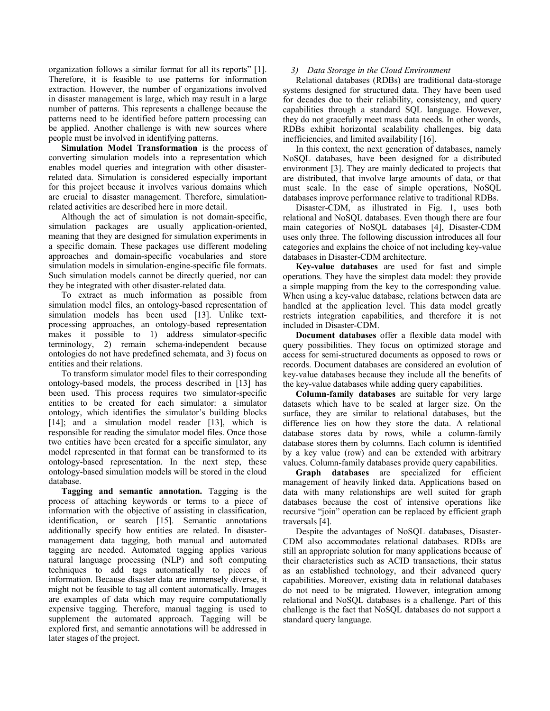organization follows a similar format for all its reports" [1]. Therefore, it is feasible to use patterns for information extraction. However, the number of organizations involved in disaster management is large, which may result in a large number of patterns. This represents a challenge because the patterns need to be identified before pattern processing can be applied. Another challenge is with new sources where people must be involved in identifying patterns.

**Simulation Model Transformation** is the process of converting simulation models into a representation which enables model queries and integration with other disasterrelated data. Simulation is considered especially important for this project because it involves various domains which are crucial to disaster management. Therefore, simulationrelated activities are described here in more detail.

Although the act of simulation is not domain-specific, simulation packages are usually application-oriented, meaning that they are designed for simulation experiments in a specific domain. These packages use different modeling approaches and domain-specific vocabularies and store simulation models in simulation-engine-specific file formats. Such simulation models cannot be directly queried, nor can they be integrated with other disaster-related data.

To extract as much information as possible from simulation model files, an ontology-based representation of simulation models has been used [13]. Unlike textprocessing approaches, an ontology-based representation makes it possible to 1) address simulator-specific terminology, 2) remain schema-independent because ontologies do not have predefined schemata, and 3) focus on entities and their relations.

To transform simulator model files to their corresponding ontology-based models, the process described in [13] has been used. This process requires two simulator-specific entities to be created for each simulator: a simulator ontology, which identifies the simulator's building blocks [14]; and a simulation model reader [13], which is responsible for reading the simulator model files. Once those two entities have been created for a specific simulator, any model represented in that format can be transformed to its ontology-based representation. In the next step, these ontology-based simulation models will be stored in the cloud database.

**Tagging and semantic annotation.** Tagging is the process of attaching keywords or terms to a piece of information with the objective of assisting in classification, identification, or search [15]. Semantic annotations additionally specify how entities are related. In disastermanagement data tagging, both manual and automated tagging are needed. Automated tagging applies various natural language processing (NLP) and soft computing techniques to add tags automatically to pieces of information. Because disaster data are immensely diverse, it might not be feasible to tag all content automatically. Images are examples of data which may require computationally expensive tagging. Therefore, manual tagging is used to supplement the automated approach. Tagging will be explored first, and semantic annotations will be addressed in later stages of the project.

# *3) Data Storage in the Cloud Environment*

Relational databases (RDBs) are traditional data-storage systems designed for structured data. They have been used for decades due to their reliability, consistency, and query capabilities through a standard SQL language. However, they do not gracefully meet mass data needs. In other words, RDBs exhibit horizontal scalability challenges, big data inefficiencies, and limited availability [16].

In this context, the next generation of databases, namely NoSQL databases, have been designed for a distributed environment [3]. They are mainly dedicated to projects that are distributed, that involve large amounts of data, or that must scale. In the case of simple operations, NoSQL databases improve performance relative to traditional RDBs.

Disaster-CDM, as illustrated in Fig. 1, uses both relational and NoSQL databases. Even though there are four main categories of NoSQL databases [4], Disaster-CDM uses only three. The following discussion introduces all four categories and explains the choice of not including key-value databases in Disaster-CDM architecture.

**Key-value databases** are used for fast and simple operations. They have the simplest data model: they provide a simple mapping from the key to the corresponding value. When using a key-value database, relations between data are handled at the application level. This data model greatly restricts integration capabilities, and therefore it is not included in Disaster-CDM.

**Document databases** offer a flexible data model with query possibilities. They focus on optimized storage and access for semi-structured documents as opposed to rows or records. Document databases are considered an evolution of key-value databases because they include all the benefits of the key-value databases while adding query capabilities.

**Column-family databases** are suitable for very large datasets which have to be scaled at larger size. On the surface, they are similar to relational databases, but the difference lies on how they store the data. A relational database stores data by rows, while a column-family database stores them by columns. Each column is identified by a key value (row) and can be extended with arbitrary values. Column-family databases provide query capabilities.

**Graph databases** are specialized for efficient management of heavily linked data. Applications based on data with many relationships are well suited for graph databases because the cost of intensive operations like recursive "join" operation can be replaced by efficient graph traversals [4].

Despite the advantages of NoSQL databases, Disaster-CDM also accommodates relational databases. RDBs are still an appropriate solution for many applications because of their characteristics such as ACID transactions, their status as an established technology, and their advanced query capabilities. Moreover, existing data in relational databases do not need to be migrated. However, integration among relational and NoSQL databases is a challenge. Part of this challenge is the fact that NoSQL databases do not support a standard query language.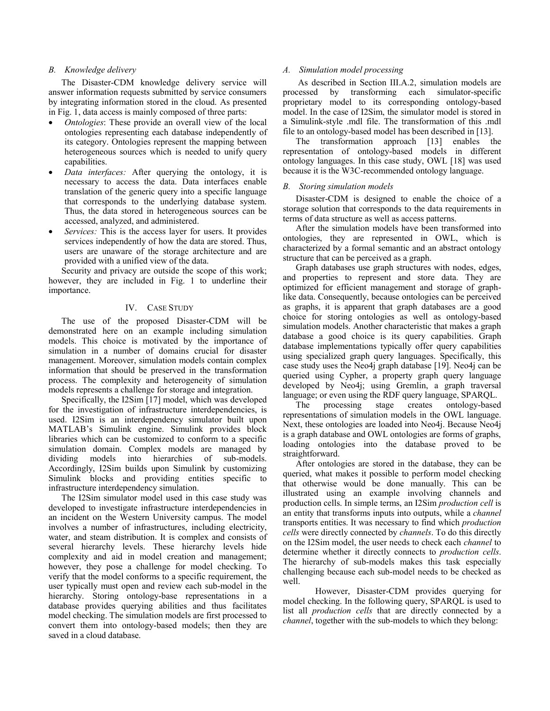# *B. Knowledge delivery*

The Disaster-CDM knowledge delivery service will answer information requests submitted by service consumers by integrating information stored in the cloud. As presented in Fig. 1, data access is mainly composed of three parts:

- *Ontologies*: These provide an overall view of the local ontologies representing each database independently of its category. Ontologies represent the mapping between heterogeneous sources which is needed to unify query capabilities.
- *Data interfaces:* After querying the ontology, it is necessary to access the data. Data interfaces enable translation of the generic query into a specific language that corresponds to the underlying database system. Thus, the data stored in heterogeneous sources can be accessed, analyzed, and administered.
- *Services:* This is the access layer for users. It provides services independently of how the data are stored. Thus, users are unaware of the storage architecture and are provided with a unified view of the data.

Security and privacy are outside the scope of this work; however, they are included in Fig. 1 to underline their importance.

# IV. CASE STUDY

The use of the proposed Disaster-CDM will be demonstrated here on an example including simulation models. This choice is motivated by the importance of simulation in a number of domains crucial for disaster management. Moreover, simulation models contain complex information that should be preserved in the transformation process. The complexity and heterogeneity of simulation models represents a challenge for storage and integration.

Specifically, the I2Sim [17] model, which was developed for the investigation of infrastructure interdependencies, is used. I2Sim is an interdependency simulator built upon MATLAB's Simulink engine. Simulink provides block libraries which can be customized to conform to a specific simulation domain. Complex models are managed by dividing models into hierarchies of sub-models. Accordingly, I2Sim builds upon Simulink by customizing Simulink blocks and providing entities specific to infrastructure interdependency simulation.

The I2Sim simulator model used in this case study was developed to investigate infrastructure interdependencies in an incident on the Western University campus. The model involves a number of infrastructures, including electricity, water, and steam distribution. It is complex and consists of several hierarchy levels. These hierarchy levels hide complexity and aid in model creation and management; however, they pose a challenge for model checking. To verify that the model conforms to a specific requirement, the user typically must open and review each sub-model in the hierarchy. Storing ontology-base representations in a database provides querying abilities and thus facilitates model checking. The simulation models are first processed to convert them into ontology-based models; then they are saved in a cloud database.

# *A. Simulation model processing*

As described in Section III.A.2, simulation models are processed by transforming each simulator-specific proprietary model to its corresponding ontology-based model. In the case of I2Sim, the simulator model is stored in a Simulink-style .mdl file. The transformation of this .mdl file to an ontology-based model has been described in [13].

The transformation approach [13] enables the representation of ontology-based models in different ontology languages. In this case study, OWL [18] was used because it is the W3C-recommended ontology language.

# *B. Storing simulation models*

Disaster-CDM is designed to enable the choice of a storage solution that corresponds to the data requirements in terms of data structure as well as access patterns.

After the simulation models have been transformed into ontologies, they are represented in OWL, which is characterized by a formal semantic and an abstract ontology structure that can be perceived as a graph.

Graph databases use graph structures with nodes, edges, and properties to represent and store data. They are optimized for efficient management and storage of graphlike data. Consequently, because ontologies can be perceived as graphs, it is apparent that graph databases are a good choice for storing ontologies as well as ontology-based simulation models. Another characteristic that makes a graph database a good choice is its query capabilities. Graph database implementations typically offer query capabilities using specialized graph query languages. Specifically, this case study uses the Neo4j graph database [19]. Neo4j can be queried using Cypher, a property graph query language developed by Neo4j; using Gremlin, a graph traversal language; or even using the RDF query language, SPARQL.

The processing stage creates ontology-based representations of simulation models in the OWL language. Next, these ontologies are loaded into Neo4j. Because Neo4j is a graph database and OWL ontologies are forms of graphs, loading ontologies into the database proved to be straightforward.

After ontologies are stored in the database, they can be queried, what makes it possible to perform model checking that otherwise would be done manually. This can be illustrated using an example involving channels and production cells. In simple terms, an I2Sim *production cell* is an entity that transforms inputs into outputs, while a *channel* transports entities. It was necessary to find which *production cells* were directly connected by *channels*. To do this directly on the I2Sim model, the user needs to check each *channel* to determine whether it directly connects to *production cells*. The hierarchy of sub-models makes this task especially challenging because each sub-model needs to be checked as well.

However, Disaster-CDM provides querying for model checking. In the following query, SPARQL is used to list all *production cells* that are directly connected by a *channel*, together with the sub-models to which they belong: